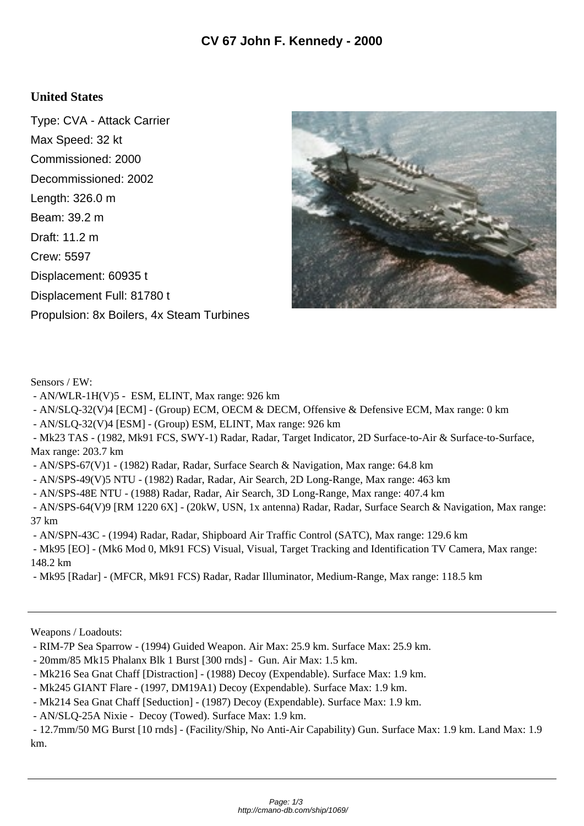## **United States**

Type: CVA - Attack Carrier Max Speed: 32 kt Commissioned: 2000 Decommissioned: 2002 Length: 326.0 m Beam: 39.2 m Draft: 11.2 m Crew: 5597 Displacement: 60935 t Displacement Full: 81780 t Propulsion: 8x Boilers, 4x Steam Turbines



Sensors / EW:

- AN/WLR-1H(V)5 ESM, ELINT, Max range: 926 km
- AN/SLQ-32(V)4 [ECM] (Group) ECM, OECM & DECM, Offensive & Defensive ECM, Max range: 0 km
- AN/SLQ-32(V)4 [ESM] (Group) ESM, ELINT, Max range: 926 km
- Mk23 TAS (1982, Mk91 FCS, SWY-1) Radar, Radar, Target Indicator, 2D Surface-to-Air & Surface-to-Surface, Max range: 203.7 km
- AN/SPS-67(V)1 (1982) Radar, Radar, Surface Search & Navigation, Max range: 64.8 km
- AN/SPS-49(V)5 NTU (1982) Radar, Radar, Air Search, 2D Long-Range, Max range: 463 km
- AN/SPS-48E NTU (1988) Radar, Radar, Air Search, 3D Long-Range, Max range: 407.4 km
- AN/SPS-64(V)9 [RM 1220 6X] (20kW, USN, 1x antenna) Radar, Radar, Surface Search & Navigation, Max range: 37 km
- AN/SPN-43C (1994) Radar, Radar, Shipboard Air Traffic Control (SATC), Max range: 129.6 km

 - Mk95 [EO] - (Mk6 Mod 0, Mk91 FCS) Visual, Visual, Target Tracking and Identification TV Camera, Max range: 148.2 km

- Mk95 [Radar] - (MFCR, Mk91 FCS) Radar, Radar Illuminator, Medium-Range, Max range: 118.5 km

Weapons / Loadouts:

- RIM-7P Sea Sparrow (1994) Guided Weapon. Air Max: 25.9 km. Surface Max: 25.9 km.
- 20mm/85 Mk15 Phalanx Blk 1 Burst [300 rnds] Gun. Air Max: 1.5 km.
- Mk216 Sea Gnat Chaff [Distraction] (1988) Decoy (Expendable). Surface Max: 1.9 km.
- Mk245 GIANT Flare (1997, DM19A1) Decoy (Expendable). Surface Max: 1.9 km.
- Mk214 Sea Gnat Chaff [Seduction] (1987) Decoy (Expendable). Surface Max: 1.9 km.
- AN/SLQ-25A Nixie Decoy (Towed). Surface Max: 1.9 km.

 - 12.7mm/50 MG Burst [10 rnds] - (Facility/Ship, No Anti-Air Capability) Gun. Surface Max: 1.9 km. Land Max: 1.9 km.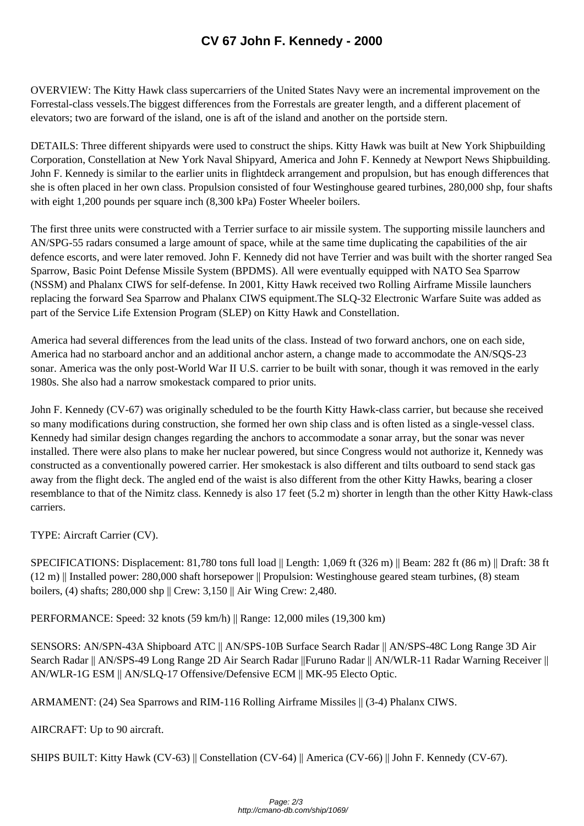OVERVIEW: The Kitty Hawk class su[percarriers of the United States Navy were](http://cmano-db.com/ship/1069/) an incremental improvement on the Forrestal-class vessels.The biggest differences from the Forrestals are greater length, and a different placement of elevators; two are forward of the island, one is aft of the island and another on the portside stern.

DETAILS: Three different shipyards were used to construct the ships. Kitty Hawk was built at New York Shipbuilding Corporation, Constellation at New York Naval Shipyard, America and John F. Kennedy at Newport News Shipbuilding. John F. Kennedy is similar to the earlier units in flightdeck arrangement and propulsion, but has enough differences that she is often placed in her own class. Propulsion consisted of four Westinghouse geared turbines, 280,000 shp, four shafts with eight 1,200 pounds per square inch (8,300 kPa) Foster Wheeler boilers.

The first three units were constructed with a Terrier surface to air missile system. The supporting missile launchers and AN/SPG-55 radars consumed a large amount of space, while at the same time duplicating the capabilities of the air defence escorts, and were later removed. John F. Kennedy did not have Terrier and was built with the shorter ranged Sea Sparrow, Basic Point Defense Missile System (BPDMS). All were eventually equipped with NATO Sea Sparrow (NSSM) and Phalanx CIWS for self-defense. In 2001, Kitty Hawk received two Rolling Airframe Missile launchers replacing the forward Sea Sparrow and Phalanx CIWS equipment.The SLQ-32 Electronic Warfare Suite was added as part of the Service Life Extension Program (SLEP) on Kitty Hawk and Constellation.

America had several differences from the lead units of the class. Instead of two forward anchors, one on each side, America had no starboard anchor and an additional anchor astern, a change made to accommodate the AN/SQS-23 sonar. America was the only post-World War II U.S. carrier to be built with sonar, though it was removed in the early 1980s. She also had a narrow smokestack compared to prior units.

John F. Kennedy (CV-67) was originally scheduled to be the fourth Kitty Hawk-class carrier, but because she received so many modifications during construction, she formed her own ship class and is often listed as a single-vessel class. Kennedy had similar design changes regarding the anchors to accommodate a sonar array, but the sonar was never installed. There were also plans to make her nuclear powered, but since Congress would not authorize it, Kennedy was constructed as a conventionally powered carrier. Her smokestack is also different and tilts outboard to send stack gas away from the flight deck. The angled end of the waist is also different from the other Kitty Hawks, bearing a closer resemblance to that of the Nimitz class. Kennedy is also 17 feet (5.2 m) shorter in length than the other Kitty Hawk-class carriers.

TYPE: Aircraft Carrier (CV).

SPECIFICATIONS: Displacement: 81,780 tons full load || Length: 1,069 ft (326 m) || Beam: 282 ft (86 m) || Draft: 38 ft (12 m) || Installed power: 280,000 shaft horsepower || Propulsion: Westinghouse geared steam turbines, (8) steam boilers, (4) shafts; 280,000 shp || Crew: 3,150 || Air Wing Crew: 2,480.

PERFORMANCE: Speed: 32 knots (59 km/h) || Range: 12,000 miles (19,300 km)

SENSORS: AN/SPN-43A Shipboard ATC || AN/SPS-10B Surface Search Radar || AN/SPS-48C Long Range 3D Air Search Radar || AN/SPS-49 Long Range 2D Air Search Radar ||Furuno Radar || AN/WLR-11 Radar Warning Receiver || AN/WLR-1G ESM || AN/SLQ-17 Offensive/Defensive ECM || MK-95 Electo Optic.

ARMAMENT: (24) Sea Sparrows and RIM-116 Rolling Airframe Missiles || (3-4) Phalanx CIWS.

AIRCRAFT: Up to 90 aircraft.

SHIPS BUILT: Kitty Hawk (CV-63) || Constellation (CV-64) || America (CV-66) || John F. Kennedy (CV-67).